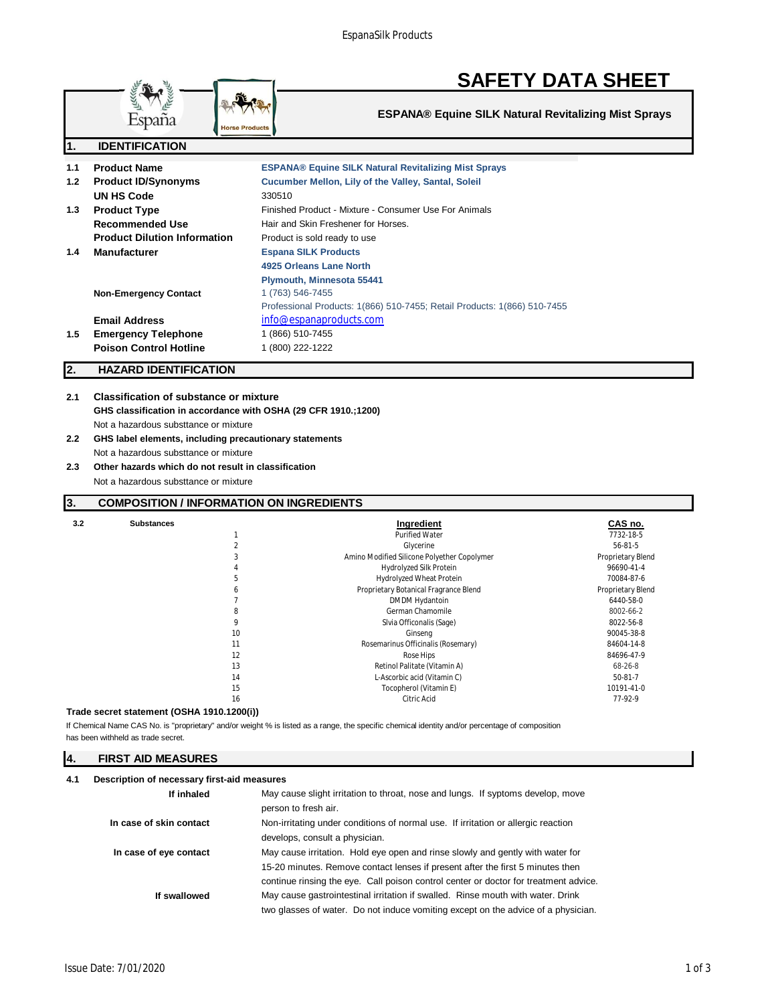

**ESPANA® Equine SILK Natural Revitalizing Mist Sprays**

| п.  | IVEN I IFIVATIVN                    |                                                                          |
|-----|-------------------------------------|--------------------------------------------------------------------------|
| 1.1 | <b>Product Name</b>                 | <b>ESPANA® Equine SILK Natural Revitalizing Mist Sprays</b>              |
| 1.2 | <b>Product ID/Synonyms</b>          | Cucumber Mellon, Lily of the Valley, Santal, Soleil                      |
|     | UN HS Code                          | 330510                                                                   |
| 1.3 | <b>Product Type</b>                 | Finished Product - Mixture - Consumer Use For Animals                    |
|     | <b>Recommended Use</b>              | Hair and Skin Freshener for Horses.                                      |
|     | <b>Product Dilution Information</b> | Product is sold ready to use                                             |
| 1.4 | <b>Manufacturer</b>                 | <b>Espana SILK Products</b>                                              |
|     |                                     | 4925 Orleans Lane North                                                  |
|     |                                     | <b>Plymouth, Minnesota 55441</b>                                         |
|     | <b>Non-Emergency Contact</b>        | 1 (763) 546-7455                                                         |
|     |                                     | Professional Products: 1(866) 510-7455; Retail Products: 1(866) 510-7455 |
|     | <b>Email Address</b>                | info@espanaproducts.com                                                  |
| 1.5 | <b>Emergency Telephone</b>          | 1 (866) 510-7455                                                         |
|     | <b>Poison Control Hotline</b>       | 1 (800) 222-1222                                                         |
|     |                                     |                                                                          |

# **2. HAZARD IDENTIFICATION**

**1. IDENTIFICATION**

# **2.1 Classification of substance or mixture GHS classification in accordance with OSHA (29 CFR 1910.;1200)** Not a hazardous substtance or mixture

- **2.2 GHS label elements, including precautionary statements** Not a hazardous substtance or mixture
- **2.3 Other hazards which do not result in classification** Not a hazardous substtance or mixture

# **3. COMPOSITION / INFORMATION ON INGREDIENTS**

| 3.2 | <b>Substances</b> |    | Ingredient                                  | CAS no.           |
|-----|-------------------|----|---------------------------------------------|-------------------|
|     |                   |    | <b>Purified Water</b>                       | 7732-18-5         |
|     |                   |    | Glycerine                                   | $56 - 81 - 5$     |
|     |                   |    | Amino Modified Silicone Polyether Copolymer | Proprietary Blend |
|     |                   |    | Hydrolyzed Silk Protein                     | 96690-41-4        |
|     |                   | b. | Hydrolyzed Wheat Protein                    | 70084-87-6        |
|     |                   | 6  | Proprietary Botanical Fragrance Blend       | Proprietary Blend |
|     |                   |    | DMDM Hydantoin                              | 6440-58-0         |
|     |                   | 8  | German Chamomile                            | 8002-66-2         |
|     |                   | 9  | Sivia Officonalis (Sage)                    | 8022-56-8         |
|     |                   | 10 | Ginseng                                     | 90045-38-8        |
|     |                   | 11 | Rosemarinus Officinalis (Rosemary)          | 84604-14-8        |
|     |                   | 12 | Rose Hips                                   | 84696-47-9        |
|     |                   | 13 | Retinol Palitate (Vitamin A)                | 68-26-8           |
|     |                   | 14 | L-Ascorbic acid (Vitamin C)                 | $50-81-7$         |
|     |                   | 15 | Tocopherol (Vitamin E)                      | 10191-41-0        |
|     |                   | 16 | <b>Citric Acid</b>                          | 77-92-9           |
|     |                   |    |                                             |                   |

#### **Trade secret statement (OSHA 1910.1200(i))**

If Chemical Name CAS No. is "proprietary" and/or weight % is listed as a range, the specific chemical identity and/or percentage of composition has been withheld as trade secret.

#### **4. FIRST AID MEASURES**

## **4.1 Description of necessary first-aid measures**

| If inhaled              | May cause slight irritation to throat, nose and lungs. If syptoms develop, move      |  |
|-------------------------|--------------------------------------------------------------------------------------|--|
|                         | person to fresh air.                                                                 |  |
| In case of skin contact | Non-irritating under conditions of normal use. If irritation or allergic reaction    |  |
|                         | develops, consult a physician.                                                       |  |
| In case of eye contact  | May cause irritation. Hold eye open and rinse slowly and gently with water for       |  |
|                         | 15-20 minutes. Remove contact lenses if present after the first 5 minutes then       |  |
|                         | continue rinsing the eye. Call poison control center or doctor for treatment advice. |  |
| If swallowed            | May cause gastrointestinal irritation if swalled. Rinse mouth with water. Drink      |  |
|                         | two glasses of water. Do not induce vomiting except on the advice of a physician.    |  |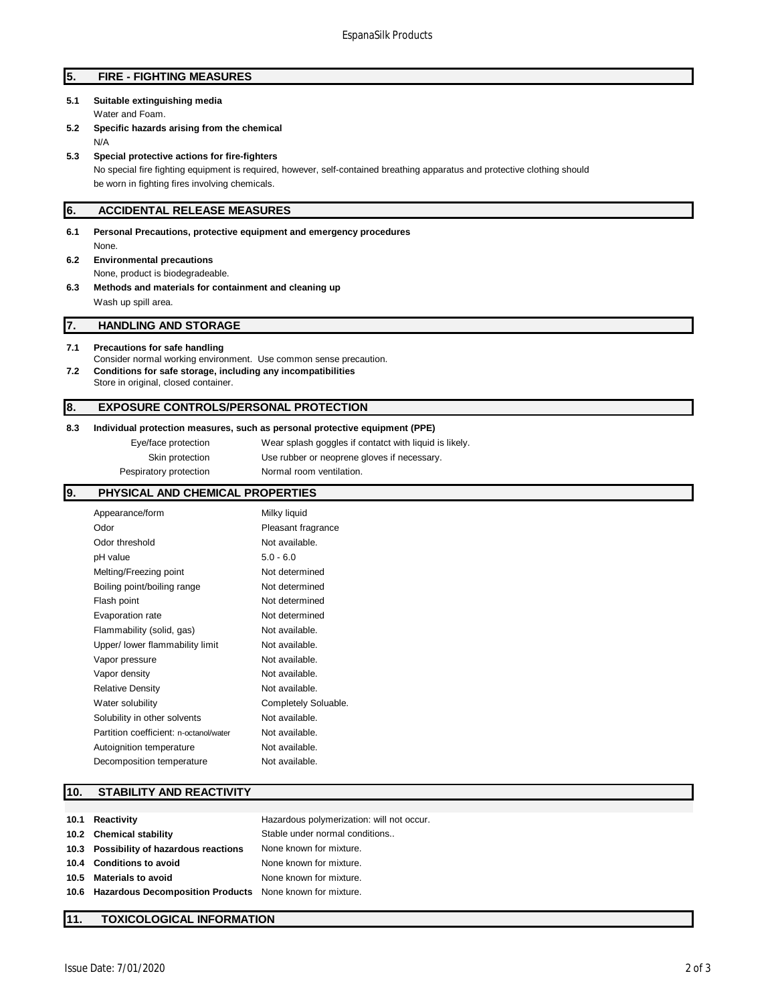# **5. FIRE - FIGHTING MEASURES**

# **5.1 Suitable extinguishing media**

Water and Foam.

**5.2 Specific hazards arising from the chemical** N/A

#### **5.3 Special protective actions for fire-fighters**

No special fire fighting equipment is required, however, self-contained breathing apparatus and protective clothing should be worn in fighting fires involving chemicals.

## **6. ACCIDENTAL RELEASE MEASURES**

**6.1 Personal Precautions, protective equipment and emergency procedures** None. **6.2 Environmental precautions** None, product is biodegradeable. **6.3 Methods and materials for containment and cleaning up** Wash up spill area.

#### **7. HANDLING AND STORAGE**

#### **7.1 Precautions for safe handling**

- Consider normal working environment. Use common sense precaution. **7.2 Conditions for safe storage, including any incompatibilities**
- Store in original, closed container.

## **8. EXPOSURE CONTROLS/PERSONAL PROTECTION**

## **8.3 Individual protection measures, such as personal protective equipment (PPE)**

Eye/face protection Wear splash goggles if contatct with liquid is likely. Skin protection Use rubber or neoprene gloves if necessary. Pespiratory protection Normal room ventilation.

## **9. PHYSICAL AND CHEMICAL PROPERTIES**

| Appearance/form                        | Milky liquid         |
|----------------------------------------|----------------------|
|                                        |                      |
| Odor                                   | Pleasant fragrance   |
| Odor threshold                         | Not available.       |
| pH value                               | $5.0 - 6.0$          |
| Melting/Freezing point                 | Not determined       |
| Boiling point/boiling range            | Not determined       |
| Flash point                            | Not determined       |
| Evaporation rate                       | Not determined       |
| Flammability (solid, gas)              | Not available.       |
| Upper/ lower flammability limit        | Not available.       |
| Vapor pressure                         | Not available.       |
| Vapor density                          | Not available.       |
| <b>Relative Density</b>                | Not available.       |
| Water solubility                       | Completely Soluable. |
| Solubility in other solvents           | Not available.       |
| Partition coefficient: n-octanol/water | Not available.       |
| Autoignition temperature               | Not available.       |
| Decomposition temperature              | Not available.       |

### **10. STABILITY AND REACTIVITY**

| 10.1 Reactivity                                               | Hazardous polymerization: will not occur. |
|---------------------------------------------------------------|-------------------------------------------|
| 10.2 Chemical stability                                       | Stable under normal conditions            |
| 10.3 Possibility of hazardous reactions                       | None known for mixture.                   |
| 10.4 Conditions to avoid                                      | None known for mixture.                   |
| 10.5 Materials to avoid                                       | None known for mixture.                   |
| 10.6 Hazardous Decomposition Products None known for mixture. |                                           |
|                                                               |                                           |

## **11. TOXICOLOGICAL INFORMATION**